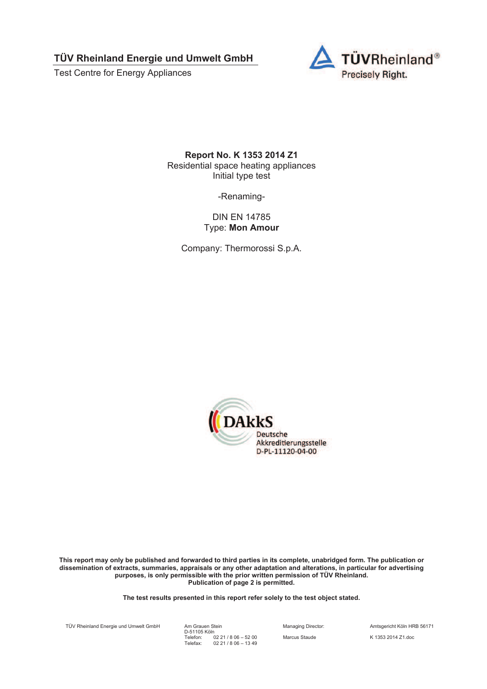Test Centre for Energy Appliances



**Report No. K 1353 2014 Z1**  Residential space heating appliances Initial type test

-Renaming-

DIN EN 14785 Type: **Mon Amour** 

Company: Thermorossi S.p.A.



**This report may only be published and forwarded to third parties in its complete, unabridged form. The publication or dissemination of extracts, summaries, appraisals or any other adaptation and alterations, in particular for advertising purposes, is only permissible with the prior written permission of TÜV Rheinland. Publication of page 2 is permitted.** 

**The test results presented in this report refer solely to the test object stated.** 

TÜV Rheinland Energie und Umwelt GmbH

Am Grauen Stein<br>D-51105 Köln Telefon: Telefax: 02 21 / 8 06 – 52 00 02 21 / 8 06 – 13 49

Managing Director: Amtsgericht Köln HRB 56171 Marcus Staude K 1353 2014 Z1.doc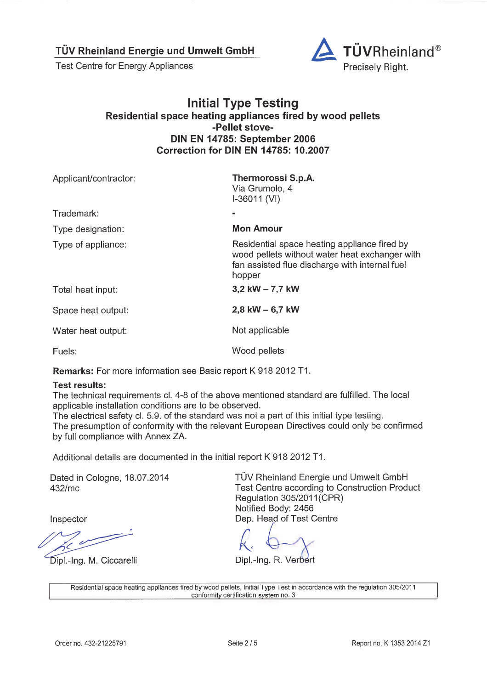**Test Centre for Energy Appliances** 



#### **Initial Type Testing** Residential space heating appliances fired by wood pellets -Pellet stove-**DIN EN 14785: September 2006** Correction for DIN EN 14785: 10.2007

| Applicant/contractor: | Thermorossi S.p.A.<br>Via Grumolo, 4<br>$I-36011 (VI)$                                                                                                     |
|-----------------------|------------------------------------------------------------------------------------------------------------------------------------------------------------|
| Trademark:            |                                                                                                                                                            |
| Type designation:     | <b>Mon Amour</b>                                                                                                                                           |
| Type of appliance:    | Residential space heating appliance fired by<br>wood pellets without water heat exchanger with<br>fan assisted flue discharge with internal fuel<br>hopper |
| Total heat input:     | 3,2 kW $- 7,7$ kW                                                                                                                                          |
| Space heat output:    | 2.8 kW $-$ 6,7 kW                                                                                                                                          |
| Water heat output:    | Not applicable                                                                                                                                             |
| Fuels:                | Wood pellets                                                                                                                                               |

Remarks: For more information see Basic report K 918 2012 T1.

#### **Test results:**

The technical requirements cl. 4-8 of the above mentioned standard are fulfilled. The local applicable installation conditions are to be observed.

The electrical safety cl. 5.9. of the standard was not a part of this initial type testing. The presumption of conformity with the relevant European Directives could only be confirmed by full compliance with Annex ZA.

Additional details are documented in the initial report K 918 2012 T1.

Dated in Cologne, 18.07.2014 432/mc

Inspector

Dipl.-Ing. M. Ciccarelli

TÜV Rheinland Energie und Umwelt GmbH Test Centre according to Construction Product Regulation 305/2011(CPR) Notified Body: 2456 Dep. Head of Test Centre

Dipl.-Ing. R. Verbert

Residential space heating appliances fired by wood pellets, Initial Type Test in accordance with the regulation 305/2011 conformity certification system no. 3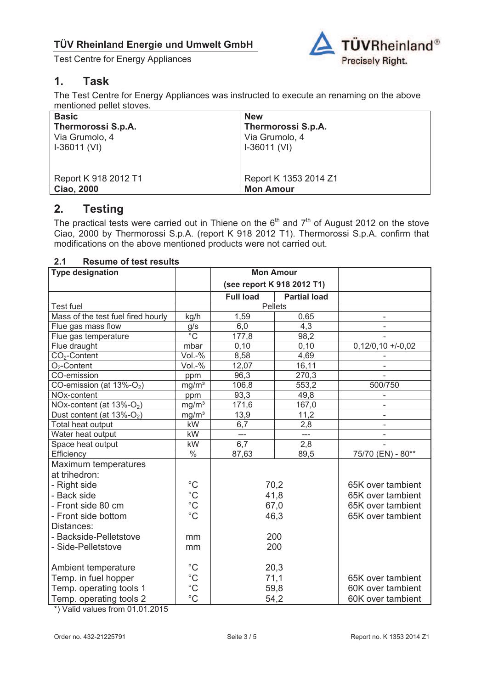

# **1. Task**

The Test Centre for Energy Appliances was instructed to execute an renaming on the above mentioned pellet stoves.

| <b>Basic</b>         | <b>New</b>            |
|----------------------|-----------------------|
| Thermorossi S.p.A.   | Thermorossi S.p.A.    |
| Via Grumolo, 4       | Via Grumolo, 4        |
| $I-36011$ (VI)       | $I-36011$ (VI)        |
|                      |                       |
| Report K 918 2012 T1 | Report K 1353 2014 Z1 |
| <b>Ciao, 2000</b>    | <b>Mon Amour</b>      |

### **2. Testing**

The practical tests were carried out in Thiene on the  $6<sup>th</sup>$  and  $7<sup>th</sup>$  of August 2012 on the stove Ciao, 2000 by Thermorossi S.p.A. (report K 918 2012 T1). Thermorossi S.p.A. confirm that modifications on the above mentioned products were not carried out.

#### **2.1 Resume of test results**

| <b>Type designation</b>                                                                                                                                                                                                                                                                                   |                                                                                                                                                                                             | <b>Mon Amour</b>                               |                                                                    |                                                                        |
|-----------------------------------------------------------------------------------------------------------------------------------------------------------------------------------------------------------------------------------------------------------------------------------------------------------|---------------------------------------------------------------------------------------------------------------------------------------------------------------------------------------------|------------------------------------------------|--------------------------------------------------------------------|------------------------------------------------------------------------|
|                                                                                                                                                                                                                                                                                                           |                                                                                                                                                                                             |                                                | (see report K 918 2012 T1)                                         |                                                                        |
|                                                                                                                                                                                                                                                                                                           |                                                                                                                                                                                             | <b>Full load</b>                               | <b>Partial load</b>                                                |                                                                        |
| <b>Test fuel</b>                                                                                                                                                                                                                                                                                          |                                                                                                                                                                                             |                                                | <b>Pellets</b>                                                     |                                                                        |
| Mass of the test fuel fired hourly                                                                                                                                                                                                                                                                        | kg/h                                                                                                                                                                                        | 1,59                                           | 0,65                                                               |                                                                        |
| Flue gas mass flow                                                                                                                                                                                                                                                                                        | g/s                                                                                                                                                                                         | 6,0                                            | 4,3                                                                | ÷,                                                                     |
| Flue gas temperature                                                                                                                                                                                                                                                                                      | $\overline{C}$                                                                                                                                                                              | 177,8                                          | 98,2                                                               |                                                                        |
| Flue draught                                                                                                                                                                                                                                                                                              | mbar                                                                                                                                                                                        | 0, 10                                          | 0, 10                                                              | $0,12/0,10 +1-0,02$                                                    |
|                                                                                                                                                                                                                                                                                                           |                                                                                                                                                                                             |                                                |                                                                    |                                                                        |
|                                                                                                                                                                                                                                                                                                           |                                                                                                                                                                                             |                                                |                                                                    |                                                                        |
| CO-emission                                                                                                                                                                                                                                                                                               | ppm                                                                                                                                                                                         | 96,3                                           | 270,3                                                              |                                                                        |
| CO-emission (at $13\%$ -O <sub>2</sub> )                                                                                                                                                                                                                                                                  |                                                                                                                                                                                             |                                                |                                                                    |                                                                        |
|                                                                                                                                                                                                                                                                                                           | ppm                                                                                                                                                                                         |                                                | 49,8                                                               |                                                                        |
|                                                                                                                                                                                                                                                                                                           |                                                                                                                                                                                             |                                                |                                                                    |                                                                        |
| Dust content (at $13\%$ -O <sub>2</sub> )                                                                                                                                                                                                                                                                 |                                                                                                                                                                                             | 13,9                                           |                                                                    |                                                                        |
|                                                                                                                                                                                                                                                                                                           |                                                                                                                                                                                             | 6,7                                            |                                                                    |                                                                        |
| Water heat output                                                                                                                                                                                                                                                                                         |                                                                                                                                                                                             | $\overline{a}$                                 | $\overline{a}$                                                     |                                                                        |
| Space heat output                                                                                                                                                                                                                                                                                         |                                                                                                                                                                                             |                                                |                                                                    |                                                                        |
| Efficiency                                                                                                                                                                                                                                                                                                |                                                                                                                                                                                             | 87,63                                          | 89,5                                                               | 75/70 (EN) - $\overline{80^{**}}$                                      |
|                                                                                                                                                                                                                                                                                                           |                                                                                                                                                                                             |                                                |                                                                    |                                                                        |
|                                                                                                                                                                                                                                                                                                           |                                                                                                                                                                                             |                                                |                                                                    |                                                                        |
| - Right side                                                                                                                                                                                                                                                                                              |                                                                                                                                                                                             | 70,2                                           |                                                                    | 65K over tambient                                                      |
| - Back side                                                                                                                                                                                                                                                                                               |                                                                                                                                                                                             | 41,8                                           |                                                                    | 65K over tambient                                                      |
| - Front side 80 cm                                                                                                                                                                                                                                                                                        |                                                                                                                                                                                             | 67,0                                           |                                                                    | 65K over tambient                                                      |
| - Front side bottom                                                                                                                                                                                                                                                                                       | $^{\circ}C$                                                                                                                                                                                 | 46,3                                           |                                                                    | 65K over tambient                                                      |
| Distances:                                                                                                                                                                                                                                                                                                |                                                                                                                                                                                             |                                                |                                                                    |                                                                        |
|                                                                                                                                                                                                                                                                                                           | mm                                                                                                                                                                                          | 200                                            |                                                                    |                                                                        |
|                                                                                                                                                                                                                                                                                                           |                                                                                                                                                                                             | 200                                            |                                                                    |                                                                        |
|                                                                                                                                                                                                                                                                                                           |                                                                                                                                                                                             |                                                |                                                                    |                                                                        |
|                                                                                                                                                                                                                                                                                                           |                                                                                                                                                                                             | 20,3                                           |                                                                    |                                                                        |
|                                                                                                                                                                                                                                                                                                           |                                                                                                                                                                                             | 71,1                                           |                                                                    |                                                                        |
|                                                                                                                                                                                                                                                                                                           |                                                                                                                                                                                             | 59,8                                           |                                                                    |                                                                        |
|                                                                                                                                                                                                                                                                                                           |                                                                                                                                                                                             | 54,2                                           |                                                                    |                                                                        |
| $CO2$ -Content<br>$O2$ -Content<br>NOx-content<br>NOx-content (at 13%-O <sub>2</sub> )<br>Total heat output<br>Maximum temperatures<br>at trihedron:<br>- Backside-Pelletstove<br>- Side-Pelletstove<br>Ambient temperature<br>Temp. in fuel hopper<br>Temp. operating tools 1<br>Temp. operating tools 2 | $Vol.-%$<br>$Vol.-%$<br>mg/m <sup>3</sup><br>$mg/m^3$<br>$mg/m^3$<br>kW<br>kW<br>kW<br>$\%$<br>$^{\circ}C$<br>$^{\circ}C$<br>mm<br>$^{\circ}C$<br>$^{\circ}C$<br>$^{\circ}C$<br>$^{\circ}C$ | 8,58<br>12,07<br>106,8<br>93,3<br>171,6<br>6,7 | 4,69<br>16,11<br>553,2<br>$\overline{167,0}$<br>11,2<br>2,8<br>2,8 | 500/750<br>65K over tambient<br>60K over tambient<br>60K over tambient |

\*) Valid values from 01.01.2015

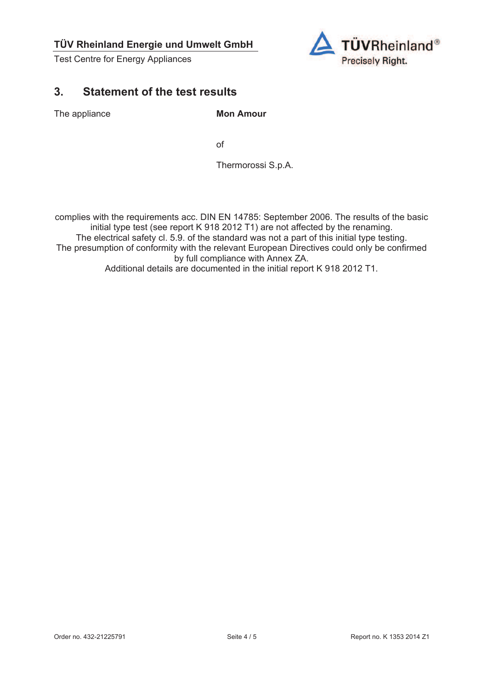Test Centre for Energy Appliances



# **3. Statement of the test results**

The appliance **Mon Amour** 

of the contract of the contract of the contract of the contract of the contract of the contract of the contract of the contract of the contract of the contract of the contract of the contract of the contract of the contrac

Thermorossi S.p.A.

complies with the requirements acc. DIN EN 14785: September 2006. The results of the basic initial type test (see report K 918 2012 T1) are not affected by the renaming. The electrical safety cl. 5.9. of the standard was not a part of this initial type testing. The presumption of conformity with the relevant European Directives could only be confirmed by full compliance with Annex ZA. Additional details are documented in the initial report K 918 2012 T1.